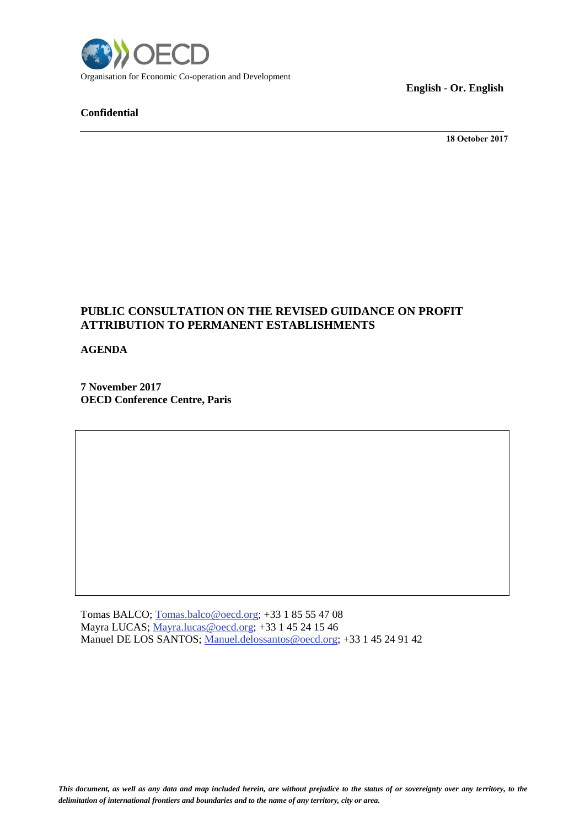

## **Confidential**

**English - Or. English**

**18 October 2017**

## **PUBLIC CONSULTATION ON THE REVISED GUIDANCE ON PROFIT ATTRIBUTION TO PERMANENT ESTABLISHMENTS**

**AGENDA**

**7 November 2017 OECD Conference Centre, Paris** 

Tomas BALCO; [Tomas.balco@oecd.org;](mailto:Tomas.balco@oecd.org) +33 1 85 55 47 08 Mayra LUCAS; [Mayra.lucas@oecd.org;](mailto:Mayra.lucas@oecd.org) +33 1 45 24 15 46 Manuel DE LOS SANTOS; [Manuel.delossantos@oecd.org;](mailto:Manuel.delossantos@oecd.org) +33 1 45 24 91 42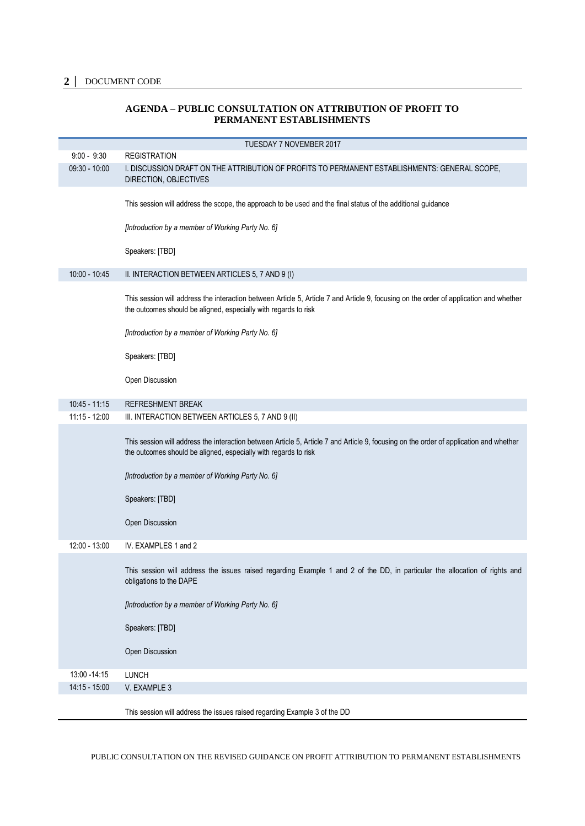## **2 │** DOCUMENT CODE

## **AGENDA – PUBLIC CONSULTATION ON ATTRIBUTION OF PROFIT TO PERMANENT ESTABLISHMENTS**

|                 | TUESDAY 7 NOVEMBER 2017                                                                                                                                                                                   |
|-----------------|-----------------------------------------------------------------------------------------------------------------------------------------------------------------------------------------------------------|
| $9:00 - 9:30$   | <b>REGISTRATION</b>                                                                                                                                                                                       |
| $09:30 - 10:00$ | I. DISCUSSION DRAFT ON THE ATTRIBUTION OF PROFITS TO PERMANENT ESTABLISHMENTS: GENERAL SCOPE,<br>DIRECTION, OBJECTIVES                                                                                    |
|                 | This session will address the scope, the approach to be used and the final status of the additional guidance                                                                                              |
|                 | [Introduction by a member of Working Party No. 6]                                                                                                                                                         |
|                 | Speakers: [TBD]                                                                                                                                                                                           |
| $10:00 - 10:45$ | II. INTERACTION BETWEEN ARTICLES 5, 7 AND 9 (I)                                                                                                                                                           |
|                 | This session will address the interaction between Article 5, Article 7 and Article 9, focusing on the order of application and whether<br>the outcomes should be aligned, especially with regards to risk |
|                 | [Introduction by a member of Working Party No. 6]                                                                                                                                                         |
|                 | Speakers: [TBD]                                                                                                                                                                                           |
|                 | Open Discussion                                                                                                                                                                                           |
| $10:45 - 11:15$ | <b>REFRESHMENT BREAK</b>                                                                                                                                                                                  |
| $11:15 - 12:00$ | III. INTERACTION BETWEEN ARTICLES 5, 7 AND 9 (II)                                                                                                                                                         |
|                 | This session will address the interaction between Article 5, Article 7 and Article 9, focusing on the order of application and whether<br>the outcomes should be aligned, especially with regards to risk |
|                 | [Introduction by a member of Working Party No. 6]                                                                                                                                                         |
|                 | Speakers: [TBD]                                                                                                                                                                                           |
|                 | Open Discussion                                                                                                                                                                                           |
| 12:00 - 13:00   | IV. EXAMPLES 1 and 2                                                                                                                                                                                      |
|                 | This session will address the issues raised regarding Example 1 and 2 of the DD, in particular the allocation of rights and<br>obligations to the DAPE                                                    |
|                 | [Introduction by a member of Working Party No. 6]                                                                                                                                                         |
|                 | Speakers: [TBD]                                                                                                                                                                                           |
|                 | Open Discussion                                                                                                                                                                                           |
| 13:00 - 14:15   | <b>LUNCH</b>                                                                                                                                                                                              |
| 14:15 - 15:00   | V. EXAMPLE 3                                                                                                                                                                                              |
|                 | This session will address the issues raised regarding Example 3 of the DD                                                                                                                                 |

PUBLIC CONSULTATION ON THE REVISED GUIDANCE ON PROFIT ATTRIBUTION TO PERMANENT ESTABLISHMENTS